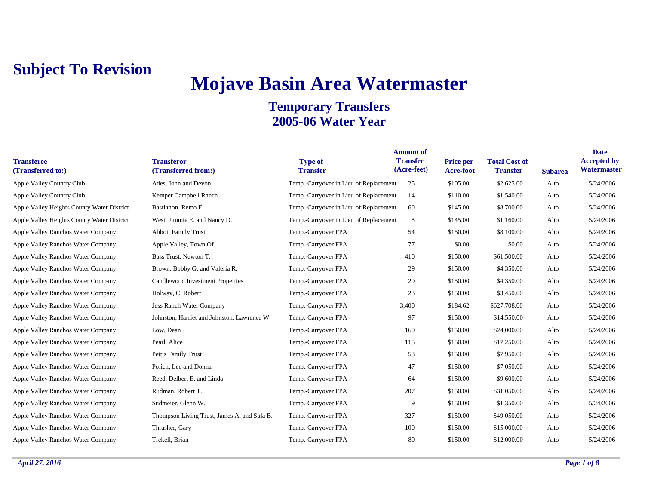# **Mojave Basin Area Watermaster**

| <b>Transferee</b><br>(Transferred to:)     | <b>Transferor</b><br>(Transferred from:)    | <b>Type of</b><br><b>Transfer</b>      | <b>Amount of</b><br><b>Transfer</b><br>(Acre-feet) | <b>Price per</b><br>Acre-foot | <b>Total Cost of</b><br><b>Transfer</b> | <b>Subarea</b> | <b>Date</b><br><b>Accepted by</b><br>Watermaster |
|--------------------------------------------|---------------------------------------------|----------------------------------------|----------------------------------------------------|-------------------------------|-----------------------------------------|----------------|--------------------------------------------------|
| Apple Valley Country Club                  | Ades, John and Devon                        | Temp.-Carryover in Lieu of Replacement | 25                                                 | \$105.00                      | \$2,625.00                              | Alto           | 5/24/2006                                        |
| Apple Valley Country Club                  | Kemper Campbell Ranch                       | Temp.-Carryover in Lieu of Replacement | 14                                                 | \$110.00                      | \$1,540.00                              | Alto           | 5/24/2006                                        |
| Apple Valley Heights County Water District | Bastianon, Remo E.                          | Temp.-Carryover in Lieu of Replacement | 60                                                 | \$145.00                      | \$8,700.00                              | Alto           | 5/24/2006                                        |
| Apple Valley Heights County Water District | West, Jimmie E. and Nancy D.                | Temp.-Carryover in Lieu of Replacement | 8                                                  | \$145.00                      | \$1,160.00                              | Alto           | 5/24/2006                                        |
| Apple Valley Ranchos Water Company         | <b>Abbott Family Trust</b>                  | Temp.-Carryover FPA                    | 54                                                 | \$150.00                      | \$8,100.00                              | Alto           | 5/24/2006                                        |
| Apple Valley Ranchos Water Company         | Apple Valley, Town Of                       | Temp.-Carryover FPA                    | 77                                                 | \$0.00                        | \$0.00                                  | Alto           | 5/24/2006                                        |
| Apple Valley Ranchos Water Company         | Bass Trust, Newton T.                       | Temp.-Carryover FPA                    | 410                                                | \$150.00                      | \$61,500.00                             | Alto           | 5/24/2006                                        |
| Apple Valley Ranchos Water Company         | Brown, Bobby G. and Valeria R.              | Temp.-Carryover FPA                    | 29                                                 | \$150.00                      | \$4,350.00                              | Alto           | 5/24/2006                                        |
| Apple Valley Ranchos Water Company         | Candlewood Investment Properties            | Temp.-Carryover FPA                    | 29                                                 | \$150.00                      | \$4,350.00                              | Alto           | 5/24/2006                                        |
| Apple Valley Ranchos Water Company         | Holway, C. Robert                           | Temp.-Carryover FPA                    | 23                                                 | \$150.00                      | \$3,450.00                              | Alto           | 5/24/2006                                        |
| Apple Valley Ranchos Water Company         | <b>Jess Ranch Water Company</b>             | Temp.-Carryover FPA                    | 3,400                                              | \$184.62                      | \$627,708.00                            | Alto           | 5/24/2006                                        |
| Apple Valley Ranchos Water Company         | Johnston, Harriet and Johnston, Lawrence W. | Temp.-Carryover FPA                    | 97                                                 | \$150.00                      | \$14,550.00                             | Alto           | 5/24/2006                                        |
| Apple Valley Ranchos Water Company         | Low, Dean                                   | Temp.-Carryover FPA                    | 160                                                | \$150.00                      | \$24,000.00                             | Alto           | 5/24/2006                                        |
| Apple Valley Ranchos Water Company         | Pearl, Alice                                | Temp.-Carryover FPA                    | 115                                                | \$150.00                      | \$17,250.00                             | Alto           | 5/24/2006                                        |
| Apple Valley Ranchos Water Company         | Pettis Family Trust                         | Temp.-Carryover FPA                    | 53                                                 | \$150.00                      | \$7,950.00                              | Alto           | 5/24/2006                                        |
| Apple Valley Ranchos Water Company         | Polich, Lee and Donna                       | Temp.-Carryover FPA                    | 47                                                 | \$150.00                      | \$7,050.00                              | Alto           | 5/24/2006                                        |
| Apple Valley Ranchos Water Company         | Reed, Delbert E. and Linda                  | Temp.-Carryover FPA                    | 64                                                 | \$150.00                      | \$9,600.00                              | Alto           | 5/24/2006                                        |
| Apple Valley Ranchos Water Company         | Rudman, Robert T.                           | Temp.-Carryover FPA                    | 207                                                | \$150.00                      | \$31,050.00                             | Alto           | 5/24/2006                                        |
| Apple Valley Ranchos Water Company         | Sudmeier, Glenn W.                          | Temp.-Carryover FPA                    | 9                                                  | \$150.00                      | \$1,350.00                              | Alto           | 5/24/2006                                        |
| Apple Valley Ranchos Water Company         | Thompson Living Trust, James A. and Sula B. | Temp.-Carryover FPA                    | 327                                                | \$150.00                      | \$49,050.00                             | Alto           | 5/24/2006                                        |
| Apple Valley Ranchos Water Company         | Thrasher, Gary                              | Temp.-Carryover FPA                    | 100                                                | \$150.00                      | \$15,000.00                             | Alto           | 5/24/2006                                        |
| Apple Valley Ranchos Water Company         | Trekell, Brian                              | Temp.-Carryover FPA                    | 80                                                 | \$150.00                      | \$12,000.00                             | Alto           | 5/24/2006                                        |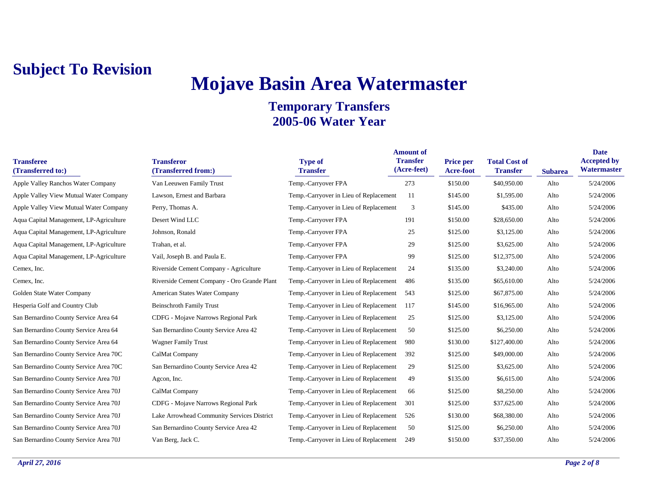# **Mojave Basin Area Watermaster**

| <b>Transferee</b><br>(Transferred to:)  | <b>Transferor</b><br>(Transferred from:)    | <b>Type of</b><br><b>Transfer</b>      | <b>Amount of</b><br><b>Transfer</b><br>(Acre-feet) | <b>Price per</b><br>Acre-foot | <b>Total Cost of</b><br><b>Transfer</b> | <b>Subarea</b> | <b>Date</b><br><b>Accepted by</b><br>Watermaster |
|-----------------------------------------|---------------------------------------------|----------------------------------------|----------------------------------------------------|-------------------------------|-----------------------------------------|----------------|--------------------------------------------------|
| Apple Valley Ranchos Water Company      | Van Leeuwen Family Trust                    | Temp.-Carryover FPA                    | 273                                                | \$150.00                      | \$40,950.00                             | Alto           | 5/24/2006                                        |
| Apple Valley View Mutual Water Company  | Lawson, Ernest and Barbara                  | Temp.-Carryover in Lieu of Replacement | 11                                                 | \$145.00                      | \$1,595.00                              | Alto           | 5/24/2006                                        |
| Apple Valley View Mutual Water Company  | Perry, Thomas A.                            | Temp.-Carryover in Lieu of Replacement | 3                                                  | \$145.00                      | \$435.00                                | Alto           | 5/24/2006                                        |
| Aqua Capital Management, LP-Agriculture | Desert Wind LLC                             | Temp.-Carryover FPA                    | 191                                                | \$150.00                      | \$28,650.00                             | Alto           | 5/24/2006                                        |
| Aqua Capital Management, LP-Agriculture | Johnson, Ronald                             | Temp.-Carryover FPA                    | 25                                                 | \$125.00                      | \$3,125.00                              | Alto           | 5/24/2006                                        |
| Aqua Capital Management, LP-Agriculture | Trahan, et al.                              | Temp.-Carryover FPA                    | 29                                                 | \$125.00                      | \$3,625.00                              | Alto           | 5/24/2006                                        |
| Aqua Capital Management, LP-Agriculture | Vail, Joseph B. and Paula E.                | Temp.-Carryover FPA                    | 99                                                 | \$125.00                      | \$12,375.00                             | Alto           | 5/24/2006                                        |
| Cemex, Inc.                             | Riverside Cement Company - Agriculture      | Temp.-Carryover in Lieu of Replacement | 24                                                 | \$135.00                      | \$3,240.00                              | Alto           | 5/24/2006                                        |
| Cemex, Inc.                             | Riverside Cement Company - Oro Grande Plant | Temp.-Carryover in Lieu of Replacement | 486                                                | \$135.00                      | \$65,610.00                             | Alto           | 5/24/2006                                        |
| Golden State Water Company              | American States Water Company               | Temp.-Carryover in Lieu of Replacement | 543                                                | \$125.00                      | \$67,875.00                             | Alto           | 5/24/2006                                        |
| Hesperia Golf and Country Club          | <b>Beinschroth Family Trust</b>             | Temp.-Carryover in Lieu of Replacement | 117                                                | \$145.00                      | \$16,965.00                             | Alto           | 5/24/2006                                        |
| San Bernardino County Service Area 64   | CDFG - Mojave Narrows Regional Park         | Temp.-Carryover in Lieu of Replacement | 25                                                 | \$125.00                      | \$3,125.00                              | Alto           | 5/24/2006                                        |
| San Bernardino County Service Area 64   | San Bernardino County Service Area 42       | Temp.-Carryover in Lieu of Replacement | 50                                                 | \$125.00                      | \$6,250.00                              | Alto           | 5/24/2006                                        |
| San Bernardino County Service Area 64   | <b>Wagner Family Trust</b>                  | Temp.-Carryover in Lieu of Replacement | 980                                                | \$130.00                      | \$127,400.00                            | Alto           | 5/24/2006                                        |
| San Bernardino County Service Area 70C  | CalMat Company                              | Temp.-Carryover in Lieu of Replacement | 392                                                | \$125.00                      | \$49,000.00                             | Alto           | 5/24/2006                                        |
| San Bernardino County Service Area 70C  | San Bernardino County Service Area 42       | Temp.-Carryover in Lieu of Replacement | 29                                                 | \$125.00                      | \$3,625.00                              | Alto           | 5/24/2006                                        |
| San Bernardino County Service Area 70J  | Agcon, Inc.                                 | Temp.-Carryover in Lieu of Replacement | 49                                                 | \$135.00                      | \$6,615.00                              | Alto           | 5/24/2006                                        |
| San Bernardino County Service Area 70J  | CalMat Company                              | Temp.-Carryover in Lieu of Replacement | 66                                                 | \$125.00                      | \$8,250.00                              | Alto           | 5/24/2006                                        |
| San Bernardino County Service Area 70J  | CDFG - Mojave Narrows Regional Park         | Temp.-Carryover in Lieu of Replacement | 301                                                | \$125.00                      | \$37,625.00                             | Alto           | 5/24/2006                                        |
| San Bernardino County Service Area 70J  | Lake Arrowhead Community Services District  | Temp.-Carryover in Lieu of Replacement | 526                                                | \$130.00                      | \$68,380.00                             | Alto           | 5/24/2006                                        |
| San Bernardino County Service Area 70J  | San Bernardino County Service Area 42       | Temp.-Carryover in Lieu of Replacement | 50                                                 | \$125.00                      | \$6,250.00                              | Alto           | 5/24/2006                                        |
| San Bernardino County Service Area 70J  | Van Berg, Jack C.                           | Temp.-Carryover in Lieu of Replacement | 249                                                | \$150.00                      | \$37,350.00                             | Alto           | 5/24/2006                                        |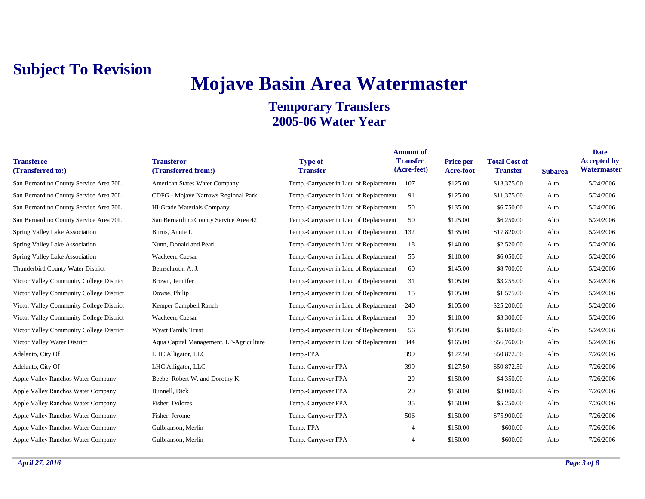# **Mojave Basin Area Watermaster**

| <b>Transferee</b><br>(Transferred to:)   | <b>Transferor</b><br>(Transferred from:) | <b>Type of</b><br><b>Transfer</b>      | <b>Amount of</b><br><b>Transfer</b><br>(Acre-feet) | <b>Price per</b><br>Acre-foot | <b>Total Cost of</b><br><b>Transfer</b> | <b>Subarea</b> | <b>Date</b><br><b>Accepted by</b><br>Watermaster |
|------------------------------------------|------------------------------------------|----------------------------------------|----------------------------------------------------|-------------------------------|-----------------------------------------|----------------|--------------------------------------------------|
| San Bernardino County Service Area 70L   | American States Water Company            | Temp.-Carryover in Lieu of Replacement | 107                                                | \$125.00                      | \$13,375.00                             | Alto           | 5/24/2006                                        |
| San Bernardino County Service Area 70L   | CDFG - Mojave Narrows Regional Park      | Temp.-Carryover in Lieu of Replacement | 91                                                 | \$125.00                      | \$11,375.00                             | Alto           | 5/24/2006                                        |
| San Bernardino County Service Area 70L   | Hi-Grade Materials Company               | Temp.-Carryover in Lieu of Replacement | 50                                                 | \$135.00                      | \$6,750.00                              | Alto           | 5/24/2006                                        |
| San Bernardino County Service Area 70L   | San Bernardino County Service Area 42    | Temp.-Carryover in Lieu of Replacement | 50                                                 | \$125.00                      | \$6,250.00                              | Alto           | 5/24/2006                                        |
| Spring Valley Lake Association           | Burns, Annie L.                          | Temp.-Carryover in Lieu of Replacement | 132                                                | \$135.00                      | \$17,820.00                             | Alto           | 5/24/2006                                        |
| Spring Valley Lake Association           | Nunn, Donald and Pearl                   | Temp.-Carryover in Lieu of Replacement | 18                                                 | \$140.00                      | \$2,520.00                              | Alto           | 5/24/2006                                        |
| Spring Valley Lake Association           | Wackeen, Caesar                          | Temp.-Carryover in Lieu of Replacement | 55                                                 | \$110.00                      | \$6,050.00                              | Alto           | 5/24/2006                                        |
| Thunderbird County Water District        | Beinschroth, A. J.                       | Temp.-Carryover in Lieu of Replacement | 60                                                 | \$145.00                      | \$8,700.00                              | Alto           | 5/24/2006                                        |
| Victor Valley Community College District | Brown, Jennifer                          | Temp.-Carryover in Lieu of Replacement | 31                                                 | \$105.00                      | \$3,255.00                              | Alto           | 5/24/2006                                        |
| Victor Valley Community College District | Dowse, Philip                            | Temp.-Carryover in Lieu of Replacement | 15                                                 | \$105.00                      | \$1,575.00                              | Alto           | 5/24/2006                                        |
| Victor Valley Community College District | Kemper Campbell Ranch                    | Temp.-Carryover in Lieu of Replacement | 240                                                | \$105.00                      | \$25,200.00                             | Alto           | 5/24/2006                                        |
| Victor Valley Community College District | Wackeen, Caesar                          | Temp.-Carryover in Lieu of Replacement | 30                                                 | \$110.00                      | \$3,300.00                              | Alto           | 5/24/2006                                        |
| Victor Valley Community College District | <b>Wyatt Family Trust</b>                | Temp.-Carryover in Lieu of Replacement | 56                                                 | \$105.00                      | \$5,880.00                              | Alto           | 5/24/2006                                        |
| Victor Valley Water District             | Aqua Capital Management, LP-Agriculture  | Temp.-Carryover in Lieu of Replacement | 344                                                | \$165.00                      | \$56,760.00                             | Alto           | 5/24/2006                                        |
| Adelanto, City Of                        | LHC Alligator, LLC                       | Temp.-FPA                              | 399                                                | \$127.50                      | \$50,872.50                             | Alto           | 7/26/2006                                        |
| Adelanto, City Of                        | LHC Alligator, LLC                       | Temp.-Carryover FPA                    | 399                                                | \$127.50                      | \$50,872.50                             | Alto           | 7/26/2006                                        |
| Apple Valley Ranchos Water Company       | Beebe, Robert W. and Dorothy K.          | Temp.-Carryover FPA                    | 29                                                 | \$150.00                      | \$4,350.00                              | Alto           | 7/26/2006                                        |
| Apple Valley Ranchos Water Company       | Bunnell, Dick                            | Temp.-Carryover FPA                    | 20                                                 | \$150.00                      | \$3,000.00                              | Alto           | 7/26/2006                                        |
| Apple Valley Ranchos Water Company       | Fisher, Dolores                          | Temp.-Carryover FPA                    | 35                                                 | \$150.00                      | \$5,250.00                              | Alto           | 7/26/2006                                        |
| Apple Valley Ranchos Water Company       | Fisher, Jerome                           | Temp.-Carryover FPA                    | 506                                                | \$150.00                      | \$75,900.00                             | Alto           | 7/26/2006                                        |
| Apple Valley Ranchos Water Company       | Gulbranson, Merlin                       | Temp.-FPA                              | $\overline{4}$                                     | \$150.00                      | \$600.00                                | Alto           | 7/26/2006                                        |
| Apple Valley Ranchos Water Company       | Gulbranson, Merlin                       | Temp.-Carryover FPA                    |                                                    | \$150.00                      | \$600.00                                | Alto           | 7/26/2006                                        |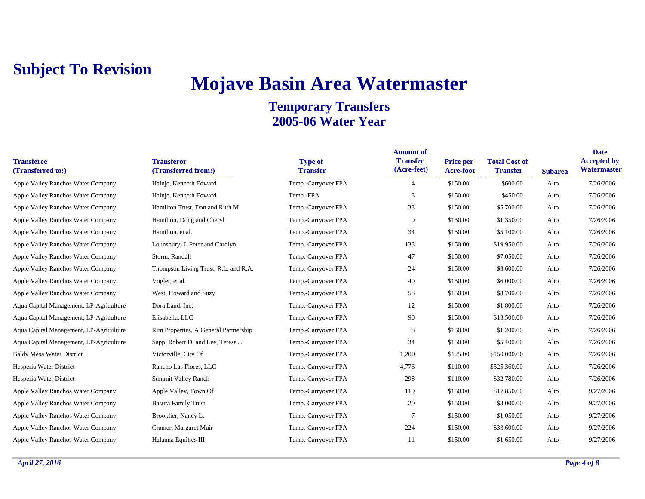# **Mojave Basin Area Watermaster**

| <b>Transferee</b><br>(Transferred to:)  | <b>Transferor</b><br>(Transferred from:) | <b>Type of</b><br><b>Transfer</b> | <b>Amount of</b><br><b>Transfer</b><br>(Acre-feet) | <b>Price per</b><br><b>Acre-foot</b> | <b>Total Cost of</b><br><b>Transfer</b> | <b>Subarea</b> | <b>Date</b><br><b>Accepted by</b><br>Watermaster |
|-----------------------------------------|------------------------------------------|-----------------------------------|----------------------------------------------------|--------------------------------------|-----------------------------------------|----------------|--------------------------------------------------|
| Apple Valley Ranchos Water Company      | Hainje, Kenneth Edward                   | Temp.-Carryover FPA               | 4                                                  | \$150.00                             | \$600.00                                | Alto           | 7/26/2006                                        |
| Apple Valley Ranchos Water Company      | Hainje, Kenneth Edward                   | Temp.-FPA                         | 3                                                  | \$150.00                             | \$450.00                                | Alto           | 7/26/2006                                        |
| Apple Valley Ranchos Water Company      | Hamilton Trust, Don and Ruth M.          | Temp.-Carryover FPA               | 38                                                 | \$150.00                             | \$5,700.00                              | Alto           | 7/26/2006                                        |
| Apple Valley Ranchos Water Company      | Hamilton, Doug and Cheryl                | Temp.-Carryover FPA               | 9                                                  | \$150.00                             | \$1,350.00                              | Alto           | 7/26/2006                                        |
| Apple Valley Ranchos Water Company      | Hamilton, et al.                         | Temp.-Carryover FPA               | 34                                                 | \$150.00                             | \$5,100.00                              | Alto           | 7/26/2006                                        |
| Apple Valley Ranchos Water Company      | Lounsbury, J. Peter and Carolyn          | Temp.-Carryover FPA               | 133                                                | \$150.00                             | \$19,950.00                             | Alto           | 7/26/2006                                        |
| Apple Valley Ranchos Water Company      | Storm, Randall                           | Temp.-Carryover FPA               | 47                                                 | \$150.00                             | \$7,050.00                              | Alto           | 7/26/2006                                        |
| Apple Valley Ranchos Water Company      | Thompson Living Trust, R.L. and R.A.     | Temp.-Carryover FPA               | 24                                                 | \$150.00                             | \$3,600.00                              | Alto           | 7/26/2006                                        |
| Apple Valley Ranchos Water Company      | Vogler, et al.                           | Temp.-Carryover FPA               | 40                                                 | \$150.00                             | \$6,000.00                              | Alto           | 7/26/2006                                        |
| Apple Valley Ranchos Water Company      | West, Howard and Suzy                    | Temp.-Carryover FPA               | 58                                                 | \$150.00                             | \$8,700.00                              | Alto           | 7/26/2006                                        |
| Aqua Capital Management, LP-Agriculture | Dora Land, Inc.                          | Temp.-Carryover FPA               | 12                                                 | \$150.00                             | \$1,800.00                              | Alto           | 7/26/2006                                        |
| Aqua Capital Management, LP-Agriculture | Elisabella, LLC                          | Temp.-Carryover FPA               | 90                                                 | \$150.00                             | \$13,500.00                             | Alto           | 7/26/2006                                        |
| Aqua Capital Management, LP-Agriculture | Rim Properties, A General Partnership    | Temp.-Carryover FPA               | 8                                                  | \$150.00                             | \$1,200.00                              | Alto           | 7/26/2006                                        |
| Aqua Capital Management, LP-Agriculture | Sapp, Robert D. and Lee, Teresa J.       | Temp.-Carryover FPA               | 34                                                 | \$150.00                             | \$5,100.00                              | Alto           | 7/26/2006                                        |
| <b>Baldy Mesa Water District</b>        | Victorville, City Of                     | Temp.-Carryover FPA               | 1,200                                              | \$125.00                             | \$150,000.00                            | Alto           | 7/26/2006                                        |
| Hesperia Water District                 | Rancho Las Flores, LLC                   | Temp.-Carryover FPA               | 4,776                                              | \$110.00                             | \$525,360.00                            | Alto           | 7/26/2006                                        |
| Hesperia Water District                 | Summit Valley Ranch                      | Temp.-Carryover FPA               | 298                                                | \$110.00                             | \$32,780.00                             | Alto           | 7/26/2006                                        |
| Apple Valley Ranchos Water Company      | Apple Valley, Town Of                    | Temp.-Carryover FPA               | 119                                                | \$150.00                             | \$17,850.00                             | Alto           | 9/27/2006                                        |
| Apple Valley Ranchos Water Company      | <b>Basura Family Trust</b>               | Temp.-Carryover FPA               | 20                                                 | \$150.00                             | \$3,000.00                              | Alto           | 9/27/2006                                        |
| Apple Valley Ranchos Water Company      | Brooklier, Nancy L.                      | Temp.-Carryover FPA               | 7                                                  | \$150.00                             | \$1,050.00                              | Alto           | 9/27/2006                                        |
| Apple Valley Ranchos Water Company      | Cramer, Margaret Muir                    | Temp.-Carryover FPA               | 224                                                | \$150.00                             | \$33,600.00                             | Alto           | 9/27/2006                                        |
| Apple Valley Ranchos Water Company      | Halanna Equities III                     | Temp.-Carryover FPA               | 11                                                 | \$150.00                             | \$1,650.00                              | Alto           | 9/27/2006                                        |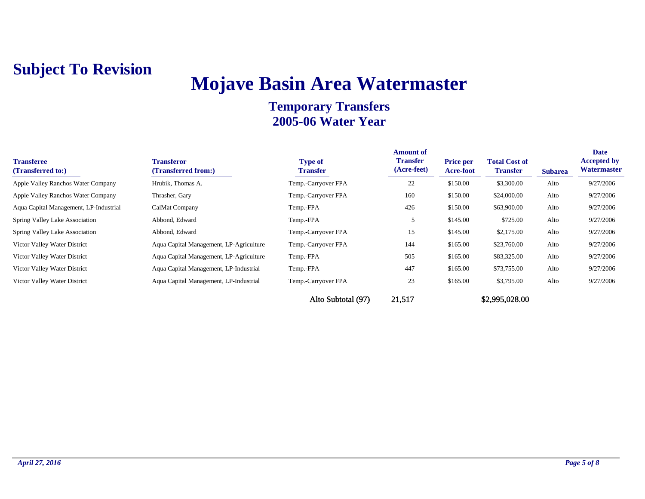## **Mojave Basin Area Watermaster**

| <b>Transferee</b><br>(Transferred to:)    | <b>Transferor</b><br>(Transferred from:) | <b>Type of</b><br><b>Transfer</b> | <b>Amount of</b><br><b>Transfer</b><br>(Acre-feet) | <b>Price per</b><br><b>Acre-foot</b> | <b>Total Cost of</b><br><b>Transfer</b> | <b>Subarea</b> | <b>Date</b><br><b>Accepted by</b><br>Watermaster |
|-------------------------------------------|------------------------------------------|-----------------------------------|----------------------------------------------------|--------------------------------------|-----------------------------------------|----------------|--------------------------------------------------|
| <b>Apple Valley Ranchos Water Company</b> | Hrubik, Thomas A.                        | Temp.-Carryover FPA               | 22                                                 | \$150.00                             | \$3,300.00                              | Alto           | 9/27/2006                                        |
| <b>Apple Valley Ranchos Water Company</b> | Thrasher, Gary                           | Temp.-Carryover FPA               | 160                                                | \$150.00                             | \$24,000.00                             | Alto           | 9/27/2006                                        |
| Aqua Capital Management, LP-Industrial    | CalMat Company                           | Temp.-FPA                         | 426                                                | \$150.00                             | \$63,900.00                             | Alto           | 9/27/2006                                        |
| Spring Valley Lake Association            | Abbond, Edward                           | Temp.-FPA                         |                                                    | \$145.00                             | \$725.00                                | Alto           | 9/27/2006                                        |
| Spring Valley Lake Association            | Abbond, Edward                           | Temp.-Carryover FPA               | 15                                                 | \$145.00                             | \$2,175.00                              | Alto           | 9/27/2006                                        |
| Victor Valley Water District              | Aqua Capital Management, LP-Agriculture  | Temp.-Carryover FPA               | 144                                                | \$165.00                             | \$23,760.00                             | Alto           | 9/27/2006                                        |
| Victor Valley Water District              | Aqua Capital Management, LP-Agriculture  | Temp.-FPA                         | 505                                                | \$165.00                             | \$83,325.00                             | Alto           | 9/27/2006                                        |
| Victor Valley Water District              | Aqua Capital Management, LP-Industrial   | Temp.-FPA                         | 447                                                | \$165.00                             | \$73,755.00                             | Alto           | 9/27/2006                                        |
| Victor Valley Water District              | Aqua Capital Management, LP-Industrial   | Temp.-Carryover FPA               | 23                                                 | \$165.00                             | \$3,795.00                              | Alto           | 9/27/2006                                        |
|                                           |                                          | Alto Subtotal (97)                | 21,517                                             |                                      | \$2,995,028.00                          |                |                                                  |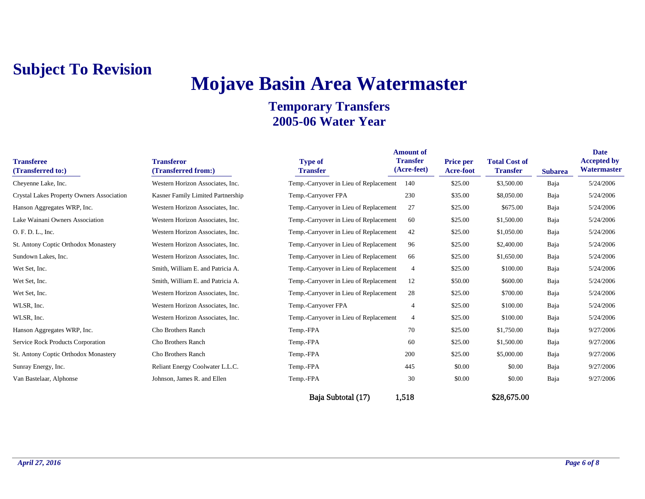# **Mojave Basin Area Watermaster**

### **Temporary Transfers 2005-06 Water Year**

| <b>Transferee</b><br>(Transferred to:)    | <b>Transferor</b><br>(Transferred from:) | <b>Type of</b><br><b>Transfer</b>      | <b>Amount of</b><br><b>Transfer</b><br>(Acre-feet) | <b>Price per</b><br><b>Acre-foot</b> | <b>Total Cost of</b><br><b>Transfer</b> | <b>Subarea</b> | <b>Date</b><br><b>Accepted by</b><br>Watermaster |
|-------------------------------------------|------------------------------------------|----------------------------------------|----------------------------------------------------|--------------------------------------|-----------------------------------------|----------------|--------------------------------------------------|
| Cheyenne Lake, Inc.                       | Western Horizon Associates, Inc.         | Temp.-Carryover in Lieu of Replacement | 140                                                | \$25.00                              | \$3,500.00                              | Baja           | 5/24/2006                                        |
| Crystal Lakes Property Owners Association | Kasner Family Limited Partnership        | Temp.-Carryover FPA                    | 230                                                | \$35.00                              | \$8,050.00                              | Baja           | 5/24/2006                                        |
| Hanson Aggregates WRP, Inc.               | Western Horizon Associates, Inc.         | Temp.-Carryover in Lieu of Replacement | 27                                                 | \$25.00                              | \$675.00                                | Baja           | 5/24/2006                                        |
| Lake Wainani Owners Association           | Western Horizon Associates, Inc.         | Temp.-Carryover in Lieu of Replacement | -60                                                | \$25.00                              | \$1,500.00                              | Baja           | 5/24/2006                                        |
| O. F. D. L., Inc.                         | Western Horizon Associates, Inc.         | Temp.-Carryover in Lieu of Replacement | 42                                                 | \$25.00                              | \$1,050.00                              | Baja           | 5/24/2006                                        |
| St. Antony Coptic Orthodox Monastery      | Western Horizon Associates, Inc.         | Temp.-Carryover in Lieu of Replacement | 96                                                 | \$25.00                              | \$2,400.00                              | Baja           | 5/24/2006                                        |
| Sundown Lakes, Inc.                       | Western Horizon Associates, Inc.         | Temp.-Carryover in Lieu of Replacement | 66                                                 | \$25.00                              | \$1,650.00                              | Baja           | 5/24/2006                                        |
| Wet Set, Inc.                             | Smith, William E. and Patricia A.        | Temp.-Carryover in Lieu of Replacement | $\overline{4}$                                     | \$25.00                              | \$100.00                                | Baja           | 5/24/2006                                        |
| Wet Set, Inc.                             | Smith, William E. and Patricia A.        | Temp.-Carryover in Lieu of Replacement | 12                                                 | \$50.00                              | \$600.00                                | Baja           | 5/24/2006                                        |
| Wet Set, Inc.                             | Western Horizon Associates, Inc.         | Temp.-Carryover in Lieu of Replacement | 28                                                 | \$25.00                              | \$700.00                                | Baja           | 5/24/2006                                        |
| WLSR, Inc.                                | Western Horizon Associates, Inc.         | Temp.-Carryover FPA                    | 4                                                  | \$25.00                              | \$100.00                                | Baja           | 5/24/2006                                        |
| WLSR, Inc.                                | Western Horizon Associates, Inc.         | Temp.-Carryover in Lieu of Replacement | 4                                                  | \$25.00                              | \$100.00                                | Baja           | 5/24/2006                                        |
| Hanson Aggregates WRP, Inc.               | Cho Brothers Ranch                       | Temp.-FPA                              | 70                                                 | \$25.00                              | \$1,750.00                              | Baja           | 9/27/2006                                        |
| Service Rock Products Corporation         | Cho Brothers Ranch                       | Temp.-FPA                              | 60                                                 | \$25.00                              | \$1,500.00                              | Baja           | 9/27/2006                                        |
| St. Antony Coptic Orthodox Monastery      | Cho Brothers Ranch                       | Temp.-FPA                              | 200                                                | \$25.00                              | \$5,000.00                              | Baja           | 9/27/2006                                        |
| Sunray Energy, Inc.                       | Reliant Energy Coolwater L.L.C.          | Temp.-FPA                              | 445                                                | \$0.00                               | \$0.00                                  | Baja           | 9/27/2006                                        |
| Van Bastelaar, Alphonse                   | Johnson, James R. and Ellen              | Temp.-FPA                              | 30                                                 | \$0.00                               | \$0.00                                  | Baja           | 9/27/2006                                        |
|                                           |                                          | Baja Subtotal (17)                     | 1,518                                              |                                      | \$28,675.00                             |                |                                                  |

*April 27, 2016 Page 6 of 8*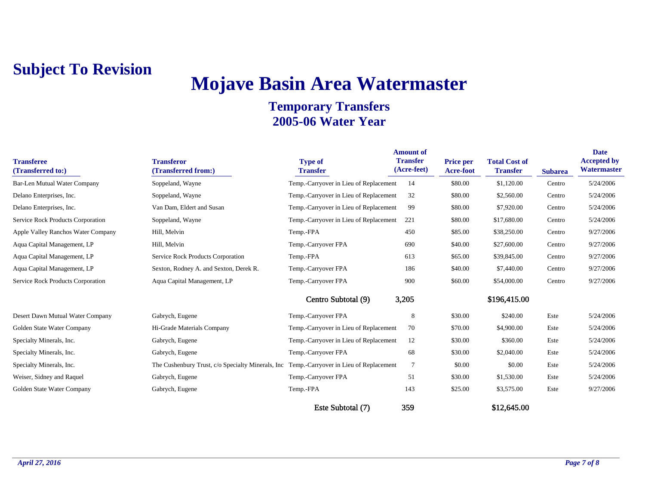## **Mojave Basin Area Watermaster**

| <b>Transferee</b><br>(Transferred to:) | <b>Transferor</b><br>(Transferred from:)           | <b>Type of</b><br><b>Transfer</b>      | <b>Amount of</b><br><b>Transfer</b><br>(Acre-feet) | <b>Price per</b><br>Acre-foot | <b>Total Cost of</b><br><b>Transfer</b> | <b>Subarea</b> | <b>Date</b><br><b>Accepted by</b><br>Watermaster |
|----------------------------------------|----------------------------------------------------|----------------------------------------|----------------------------------------------------|-------------------------------|-----------------------------------------|----------------|--------------------------------------------------|
| <b>Bar-Len Mutual Water Company</b>    | Soppeland, Wayne                                   | Temp.-Carryover in Lieu of Replacement | 14                                                 | \$80.00                       | \$1,120.00                              | Centro         | 5/24/2006                                        |
| Delano Enterprises, Inc.               | Soppeland, Wayne                                   | Temp.-Carryover in Lieu of Replacement | 32                                                 | \$80.00                       | \$2,560.00                              | Centro         | 5/24/2006                                        |
| Delano Enterprises, Inc.               | Van Dam, Eldert and Susan                          | Temp.-Carryover in Lieu of Replacement | 99                                                 | \$80.00                       | \$7,920.00                              | Centro         | 5/24/2006                                        |
| Service Rock Products Corporation      | Soppeland, Wayne                                   | Temp.-Carryover in Lieu of Replacement | 221                                                | \$80.00                       | \$17,680.00                             | Centro         | 5/24/2006                                        |
| Apple Valley Ranchos Water Company     | Hill, Melvin                                       | Temp.-FPA                              | 450                                                | \$85.00                       | \$38,250.00                             | Centro         | 9/27/2006                                        |
| Aqua Capital Management, LP            | Hill, Melvin                                       | Temp.-Carryover FPA                    | 690                                                | \$40.00                       | \$27,600.00                             | Centro         | 9/27/2006                                        |
| Aqua Capital Management, LP            | Service Rock Products Corporation                  | Temp.-FPA                              | 613                                                | \$65.00                       | \$39,845.00                             | Centro         | 9/27/2006                                        |
| Aqua Capital Management, LP            | Sexton, Rodney A. and Sexton, Derek R.             | Temp.-Carryover FPA                    | 186                                                | \$40.00                       | \$7,440.00                              | Centro         | 9/27/2006                                        |
| Service Rock Products Corporation      | Aqua Capital Management, LP                        | Temp.-Carryover FPA                    | 900                                                | \$60.00                       | \$54,000.00                             | Centro         | 9/27/2006                                        |
|                                        |                                                    | Centro Subtotal (9)                    | 3,205                                              |                               | \$196,415.00                            |                |                                                  |
| Desert Dawn Mutual Water Company       | Gabrych, Eugene                                    | Temp.-Carryover FPA                    | 8                                                  | \$30.00                       | \$240.00                                | Este           | 5/24/2006                                        |
| Golden State Water Company             | Hi-Grade Materials Company                         | Temp.-Carryover in Lieu of Replacement | 70                                                 | \$70.00                       | \$4,900.00                              | Este           | 5/24/2006                                        |
| Specialty Minerals, Inc.               | Gabrych, Eugene                                    | Temp.-Carryover in Lieu of Replacement | 12                                                 | \$30.00                       | \$360.00                                | Este           | 5/24/2006                                        |
| Specialty Minerals, Inc.               | Gabrych, Eugene                                    | Temp.-Carryover FPA                    | 68                                                 | \$30.00                       | \$2,040.00                              | Este           | 5/24/2006                                        |
| Specialty Minerals, Inc.               | The Cushenbury Trust, c/o Specialty Minerals, Inc. | Temp.-Carryover in Lieu of Replacement | $7\phantom{.0}$                                    | \$0.00                        | \$0.00                                  | Este           | 5/24/2006                                        |
| Weiser, Sidney and Raquel              | Gabrych, Eugene                                    | Temp.-Carryover FPA                    | 51                                                 | \$30.00                       | \$1,530.00                              | Este           | 5/24/2006                                        |
| Golden State Water Company             | Gabrych, Eugene                                    | Temp.-FPA                              | 143                                                | \$25.00                       | \$3,575.00                              | Este           | 9/27/2006                                        |
|                                        |                                                    | Este Subtotal (7)                      | 359                                                |                               | \$12,645.00                             |                |                                                  |